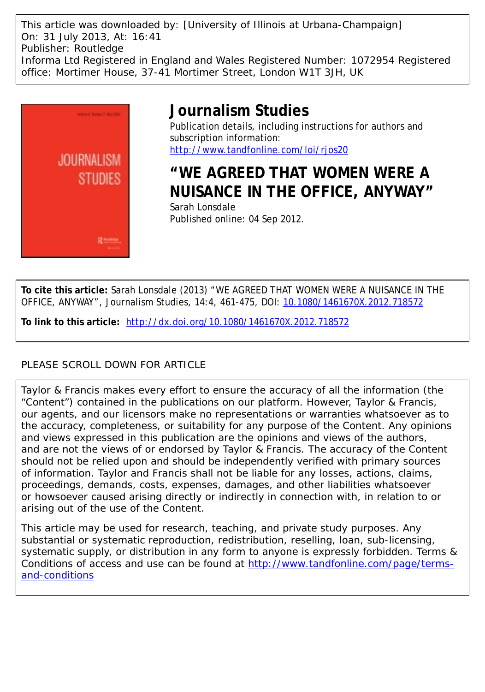This article was downloaded by: [University of Illinois at Urbana-Champaign] On: 31 July 2013, At: 16:41 Publisher: Routledge Informa Ltd Registered in England and Wales Registered Number: 1072954 Registered office: Mortimer House, 37-41 Mortimer Street, London W1T 3JH, UK



## **Journalism Studies**

Publication details, including instructions for authors and subscription information: <http://www.tandfonline.com/loi/rjos20>

**"WE AGREED THAT WOMEN WERE A NUISANCE IN THE OFFICE, ANYWAY"** Sarah Lonsdale

Published online: 04 Sep 2012.

**To cite this article:** Sarah Lonsdale (2013) "WE AGREED THAT WOMEN WERE A NUISANCE IN THE OFFICE, ANYWAY", Journalism Studies, 14:4, 461-475, DOI: [10.1080/1461670X.2012.718572](http://www.tandfonline.com/action/showCitFormats?doi=10.1080/1461670X.2012.718572)

**To link to this article:** <http://dx.doi.org/10.1080/1461670X.2012.718572>

## PLEASE SCROLL DOWN FOR ARTICLE

Taylor & Francis makes every effort to ensure the accuracy of all the information (the "Content") contained in the publications on our platform. However, Taylor & Francis, our agents, and our licensors make no representations or warranties whatsoever as to the accuracy, completeness, or suitability for any purpose of the Content. Any opinions and views expressed in this publication are the opinions and views of the authors, and are not the views of or endorsed by Taylor & Francis. The accuracy of the Content should not be relied upon and should be independently verified with primary sources of information. Taylor and Francis shall not be liable for any losses, actions, claims, proceedings, demands, costs, expenses, damages, and other liabilities whatsoever or howsoever caused arising directly or indirectly in connection with, in relation to or arising out of the use of the Content.

This article may be used for research, teaching, and private study purposes. Any substantial or systematic reproduction, redistribution, reselling, loan, sub-licensing, systematic supply, or distribution in any form to anyone is expressly forbidden. Terms & Conditions of access and use can be found at [http://www.tandfonline.com/page/terms](http://www.tandfonline.com/page/terms-and-conditions)[and-conditions](http://www.tandfonline.com/page/terms-and-conditions)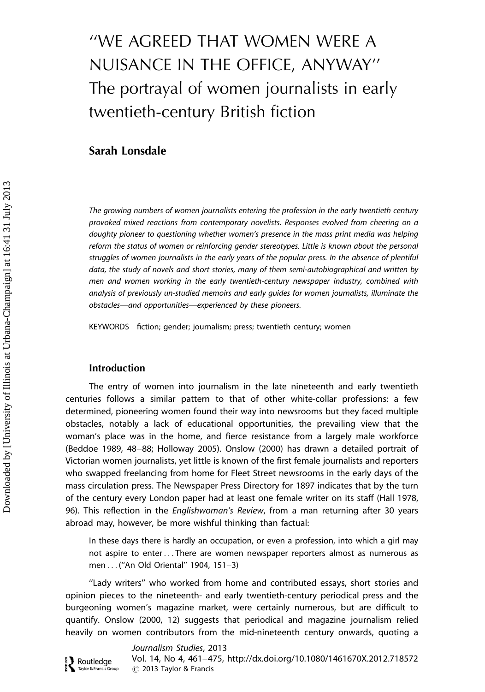# ''WE AGREED THAT WOMEN WERE A NUISANCE IN THE OFFICE, ANYWAY'' The portrayal of women journalists in early twentieth-century British fiction

### Sarah Lonsdale

The growing numbers of women journalists entering the profession in the early twentieth century provoked mixed reactions from contemporary novelists. Responses evolved from cheering on a doughty pioneer to questioning whether women's presence in the mass print media was helping reform the status of women or reinforcing gender stereotypes. Little is known about the personal struggles of women journalists in the early years of the popular press. In the absence of plentiful data, the study of novels and short stories, many of them semi-autobiographical and written by men and women working in the early twentieth-century newspaper industry, combined with analysis of previously un-studied memoirs and early guides for women journalists, illuminate the obstacles—and opportunities—experienced by these pioneers.

KEYWORDS fiction; gender; journalism; press; twentieth century; women

#### Introduction

Routledge

The entry of women into journalism in the late nineteenth and early twentieth centuries follows a similar pattern to that of other white-collar professions: a few determined, pioneering women found their way into newsrooms but they faced multiple obstacles, notably a lack of educational opportunities, the prevailing view that the woman's place was in the home, and fierce resistance from a largely male workforce (Beddoe 1989, 48-88; Holloway 2005). Onslow (2000) has drawn a detailed portrait of Victorian women journalists, yet little is known of the first female journalists and reporters who swapped freelancing from home for Fleet Street newsrooms in the early days of the mass circulation press. The Newspaper Press Directory for 1897 indicates that by the turn of the century every London paper had at least one female writer on its staff (Hall 1978, 96). This reflection in the *Englishwoman's Review*, from a man returning after 30 years abroad may, however, be more wishful thinking than factual:

In these days there is hardly an occupation, or even a profession, into which a girl may not aspire to enter ... There are women newspaper reporters almost as numerous as men ... (''An Old Oriental'' 1904, 151-3)

''Lady writers'' who worked from home and contributed essays, short stories and opinion pieces to the nineteenth- and early twentieth-century periodical press and the burgeoning women's magazine market, were certainly numerous, but are difficult to quantify. Onslow (2000, 12) suggests that periodical and magazine journalism relied heavily on women contributors from the mid-nineteenth century onwards, quoting a

Journalism Studies, 2013

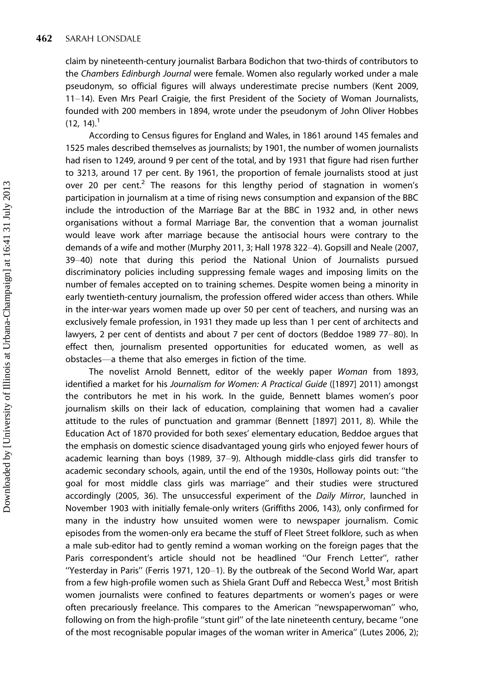claim by nineteenth-century journalist Barbara Bodichon that two-thirds of contributors to the Chambers Edinburgh Journal were female. Women also regularly worked under a male pseudonym, so official figures will always underestimate precise numbers (Kent 2009, 11-14). Even Mrs Pearl Craigie, the first President of the Society of Woman Journalists, founded with 200 members in 1894, wrote under the pseudonym of John Oliver Hobbes  $(12, 14).$ <sup>1</sup>

According to Census figures for England and Wales, in 1861 around 145 females and 1525 males described themselves as journalists; by 1901, the number of women journalists had risen to 1249, around 9 per cent of the total, and by 1931 that figure had risen further to 3213, around 17 per cent. By 1961, the proportion of female journalists stood at just over 20 per cent.<sup>2</sup> The reasons for this lengthy period of stagnation in women's participation in journalism at a time of rising news consumption and expansion of the BBC include the introduction of the Marriage Bar at the BBC in 1932 and, in other news organisations without a formal Marriage Bar, the convention that a woman journalist would leave work after marriage because the antisocial hours were contrary to the demands of a wife and mother (Murphy 2011, 3; Hall 1978 322-4). Gopsill and Neale (2007, 39-40) note that during this period the National Union of Journalists pursued discriminatory policies including suppressing female wages and imposing limits on the number of females accepted on to training schemes. Despite women being a minority in early twentieth-century journalism, the profession offered wider access than others. While in the inter-war years women made up over 50 per cent of teachers, and nursing was an exclusively female profession, in 1931 they made up less than 1 per cent of architects and lawyers, 2 per cent of dentists and about 7 per cent of doctors (Beddoe 1989 77-80). In effect then, journalism presented opportunities for educated women, as well as obstacles—a theme that also emerges in fiction of the time.

The novelist Arnold Bennett, editor of the weekly paper Woman from 1893, identified a market for his Journalism for Women: A Practical Guide ([1897] 2011) amongst the contributors he met in his work. In the guide, Bennett blames women's poor journalism skills on their lack of education, complaining that women had a cavalier attitude to the rules of punctuation and grammar (Bennett [1897] 2011, 8). While the Education Act of 1870 provided for both sexes' elementary education, Beddoe argues that the emphasis on domestic science disadvantaged young girls who enjoyed fewer hours of academic learning than boys (1989, 37-9). Although middle-class girls did transfer to academic secondary schools, again, until the end of the 1930s, Holloway points out: ''the goal for most middle class girls was marriage'' and their studies were structured accordingly (2005, 36). The unsuccessful experiment of the Daily Mirror, launched in November 1903 with initially female-only writers (Griffiths 2006, 143), only confirmed for many in the industry how unsuited women were to newspaper journalism. Comic episodes from the women-only era became the stuff of Fleet Street folklore, such as when a male sub-editor had to gently remind a woman working on the foreign pages that the Paris correspondent's article should not be headlined ''Our French Letter'', rather ''Yesterday in Paris'' (Ferris 1971, 120-1). By the outbreak of the Second World War, apart from a few high-profile women such as Shiela Grant Duff and Rebecca West,<sup>3</sup> most British women journalists were confined to features departments or women's pages or were often precariously freelance. This compares to the American ''newspaperwoman'' who, following on from the high-profile ''stunt girl'' of the late nineteenth century, became ''one of the most recognisable popular images of the woman writer in America'' (Lutes 2006, 2);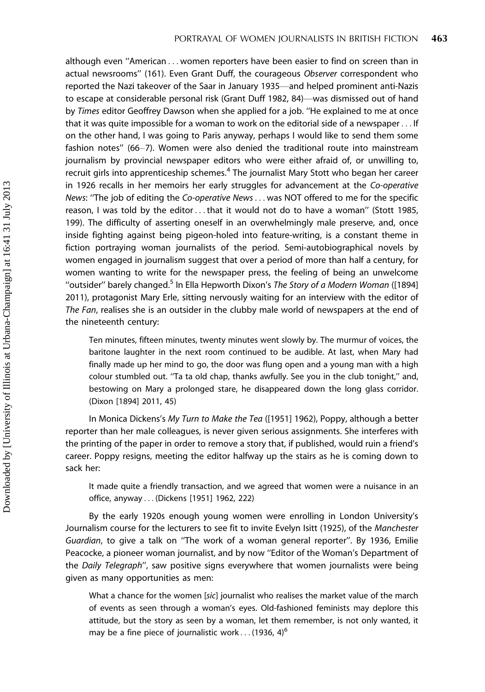although even ''American ... women reporters have been easier to find on screen than in actual newsrooms'' (161). Even Grant Duff, the courageous Observer correspondent who reported the Nazi takeover of the Saar in January 1935—and helped prominent anti-Nazis to escape at considerable personal risk (Grant Duff 1982, 84)—was dismissed out of hand by Times editor Geoffrey Dawson when she applied for a job. ''He explained to me at once that it was quite impossible for a woman to work on the editorial side of a newspaper ... If on the other hand, I was going to Paris anyway, perhaps I would like to send them some fashion notes'' (66-7). Women were also denied the traditional route into mainstream journalism by provincial newspaper editors who were either afraid of, or unwilling to, recruit girls into apprenticeship schemes.<sup>4</sup> The journalist Mary Stott who began her career in 1926 recalls in her memoirs her early struggles for advancement at the Co-operative News: ''The job of editing the Co-operative News... was NOT offered to me for the specific reason, I was told by the editor ... that it would not do to have a woman'' (Stott 1985, 199). The difficulty of asserting oneself in an overwhelmingly male preserve, and, once inside fighting against being pigeon-holed into feature-writing, is a constant theme in fiction portraying woman journalists of the period. Semi-autobiographical novels by women engaged in journalism suggest that over a period of more than half a century, for women wanting to write for the newspaper press, the feeling of being an unwelcome "outsider" barely changed.<sup>5</sup> In Ella Hepworth Dixon's The Story of a Modern Woman ([1894] 2011), protagonist Mary Erle, sitting nervously waiting for an interview with the editor of The Fan, realises she is an outsider in the clubby male world of newspapers at the end of the nineteenth century:

Ten minutes, fifteen minutes, twenty minutes went slowly by. The murmur of voices, the baritone laughter in the next room continued to be audible. At last, when Mary had finally made up her mind to go, the door was flung open and a young man with a high colour stumbled out. ''Ta ta old chap, thanks awfully. See you in the club tonight,'' and, bestowing on Mary a prolonged stare, he disappeared down the long glass corridor. (Dixon [1894] 2011, 45)

In Monica Dickens's My Turn to Make the Tea ([1951] 1962), Poppy, although a better reporter than her male colleagues, is never given serious assignments. She interferes with the printing of the paper in order to remove a story that, if published, would ruin a friend's career. Poppy resigns, meeting the editor halfway up the stairs as he is coming down to sack her:

It made quite a friendly transaction, and we agreed that women were a nuisance in an office, anyway ... (Dickens [1951] 1962, 222)

By the early 1920s enough young women were enrolling in London University's Journalism course for the lecturers to see fit to invite Evelyn Isitt (1925), of the Manchester Guardian, to give a talk on ''The work of a woman general reporter''. By 1936, Emilie Peacocke, a pioneer woman journalist, and by now ''Editor of the Woman's Department of the Daily Telegraph'', saw positive signs everywhere that women journalists were being given as many opportunities as men:

What a chance for the women [sic] journalist who realises the market value of the march of events as seen through a woman's eyes. Old-fashioned feminists may deplore this attitude, but the story as seen by a woman, let them remember, is not only wanted, it may be a fine piece of journalistic work... (1936, 4)<sup>6</sup>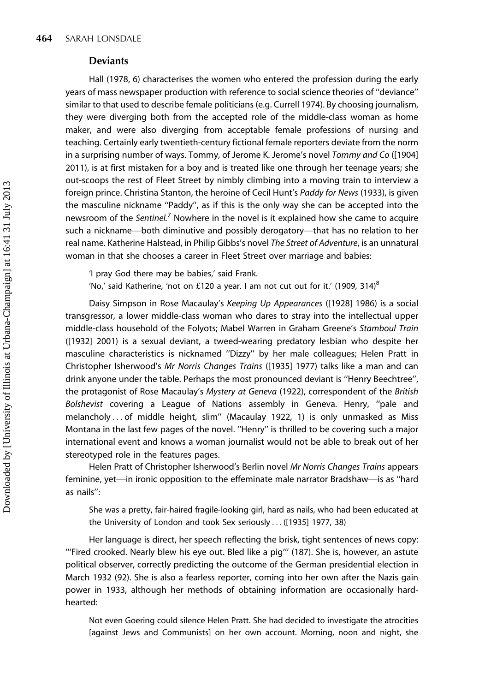#### **Deviants**

Hall (1978, 6) characterises the women who entered the profession during the early years of mass newspaper production with reference to social science theories of ''deviance'' similar to that used to describe female politicians (e.g. Currell 1974). By choosing journalism, they were diverging both from the accepted role of the middle-class woman as home maker, and were also diverging from acceptable female professions of nursing and teaching. Certainly early twentieth-century fictional female reporters deviate from the norm in a surprising number of ways. Tommy, of Jerome K. Jerome's novel Tommy and Co ([1904] 2011), is at first mistaken for a boy and is treated like one through her teenage years; she out-scoops the rest of Fleet Street by nimbly climbing into a moving train to interview a foreign prince. Christina Stanton, the heroine of Cecil Hunt's Paddy for News (1933), is given the masculine nickname ''Paddy'', as if this is the only way she can be accepted into the newsroom of the Sentinel.<sup>7</sup> Nowhere in the novel is it explained how she came to acquire such a nickname—both diminutive and possibly derogatory—that has no relation to her real name. Katherine Halstead, in Philip Gibbs's novel The Street of Adventure, is an unnatural woman in that she chooses a career in Fleet Street over marriage and babies:

'I pray God there may be babies,' said Frank.

'No,' said Katherine, 'not on £120 a year. I am not cut out for it.' (1909, 314)<sup>8</sup>

Daisy Simpson in Rose Macaulay's Keeping Up Appearances ([1928] 1986) is a social transgressor, a lower middle-class woman who dares to stray into the intellectual upper middle-class household of the Folyots; Mabel Warren in Graham Greene's Stamboul Train ([1932] 2001) is a sexual deviant, a tweed-wearing predatory lesbian who despite her masculine characteristics is nicknamed ''Dizzy'' by her male colleagues; Helen Pratt in Christopher Isherwood's Mr Norris Changes Trains ([1935] 1977) talks like a man and can drink anyone under the table. Perhaps the most pronounced deviant is ''Henry Beechtree'', the protagonist of Rose Macaulay's Mystery at Geneva (1922), correspondent of the British Bolshevist covering a League of Nations assembly in Geneva. Henry, ''pale and melancholy ... of middle height, slim'' (Macaulay 1922, 1) is only unmasked as Miss Montana in the last few pages of the novel. ''Henry'' is thrilled to be covering such a major international event and knows a woman journalist would not be able to break out of her stereotyped role in the features pages.

Helen Pratt of Christopher Isherwood's Berlin novel Mr Norris Changes Trains appears feminine, yet—in ironic opposition to the effeminate male narrator Bradshaw—is as "hard as nails'':

She was a pretty, fair-haired fragile-looking girl, hard as nails, who had been educated at the University of London and took Sex seriously ... ([1935] 1977, 38)

Her language is direct, her speech reflecting the brisk, tight sentences of news copy: '''Fired crooked. Nearly blew his eye out. Bled like a pig''' (187). She is, however, an astute political observer, correctly predicting the outcome of the German presidential election in March 1932 (92). She is also a fearless reporter, coming into her own after the Nazis gain power in 1933, although her methods of obtaining information are occasionally hardhearted:

Not even Goering could silence Helen Pratt. She had decided to investigate the atrocities [against Jews and Communists] on her own account. Morning, noon and night, she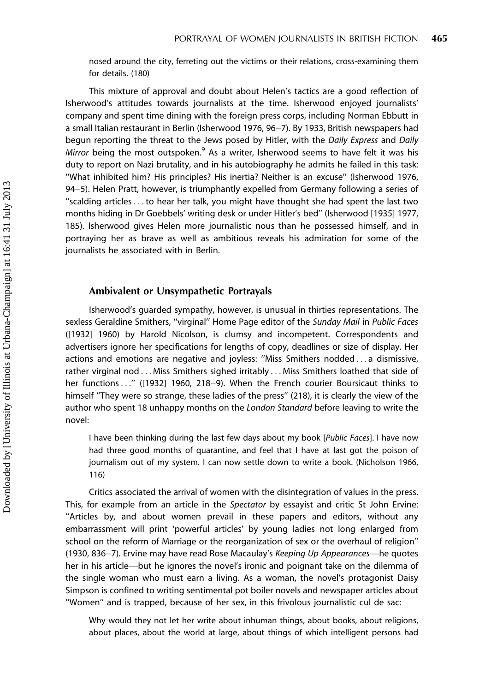nosed around the city, ferreting out the victims or their relations, cross-examining them for details. (180)

This mixture of approval and doubt about Helen's tactics are a good reflection of Isherwood's attitudes towards journalists at the time. Isherwood enjoyed journalists' company and spent time dining with the foreign press corps, including Norman Ebbutt in a small Italian restaurant in Berlin (Isherwood 1976, 96-7). By 1933, British newspapers had begun reporting the threat to the Jews posed by Hitler, with the Daily Express and Daily Mirror being the most outspoken. $9$  As a writer, Isherwood seems to have felt it was his duty to report on Nazi brutality, and in his autobiography he admits he failed in this task: ''What inhibited him? His principles? His inertia? Neither is an excuse'' (Isherwood 1976, 94-5). Helen Pratt, however, is triumphantly expelled from Germany following a series of ''scalding articles... to hear her talk, you might have thought she had spent the last two months hiding in Dr Goebbels' writing desk or under Hitler's bed'' (Isherwood [1935] 1977, 185). Isherwood gives Helen more journalistic nous than he possessed himself, and in portraying her as brave as well as ambitious reveals his admiration for some of the journalists he associated with in Berlin.

#### Ambivalent or Unsympathetic Portrayals

Isherwood's guarded sympathy, however, is unusual in thirties representations. The sexless Geraldine Smithers, ''virginal'' Home Page editor of the Sunday Mail in Public Faces ([1932] 1960) by Harold Nicolson, is clumsy and incompetent. Correspondents and advertisers ignore her specifications for lengths of copy, deadlines or size of display. Her actions and emotions are negative and joyless: ''Miss Smithers nodded ... a dismissive, rather virginal nod ... Miss Smithers sighed irritably ... Miss Smithers loathed that side of her functions...'' ([1932] 1960, 218-9). When the French courier Boursicaut thinks to himself "They were so strange, these ladies of the press" (218), it is clearly the view of the author who spent 18 unhappy months on the London Standard before leaving to write the novel:

I have been thinking during the last few days about my book [Public Faces]. I have now had three good months of quarantine, and feel that I have at last got the poison of journalism out of my system. I can now settle down to write a book. (Nicholson 1966, 116)

Critics associated the arrival of women with the disintegration of values in the press. This, for example from an article in the Spectator by essayist and critic St John Ervine: ''Articles by, and about women prevail in these papers and editors, without any embarrassment will print 'powerful articles' by young ladies not long enlarged from school on the reform of Marriage or the reorganization of sex or the overhaul of religion'' (1930, 836–7). Ervine may have read Rose Macaulay's Keeping Up Appearances—he quotes her in his article—but he ignores the novel's ironic and poignant take on the dilemma of the single woman who must earn a living. As a woman, the novel's protagonist Daisy Simpson is confined to writing sentimental pot boiler novels and newspaper articles about ''Women'' and is trapped, because of her sex, in this frivolous journalistic cul de sac:

Why would they not let her write about inhuman things, about books, about religions, about places, about the world at large, about things of which intelligent persons had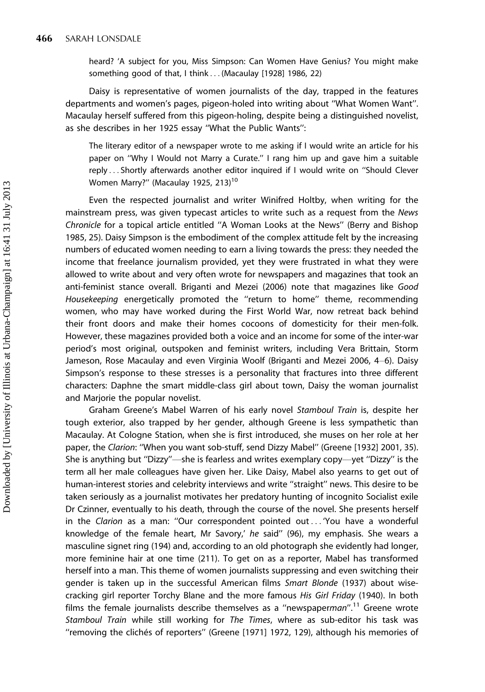heard? 'A subject for you, Miss Simpson: Can Women Have Genius? You might make something good of that, I think ... (Macaulay [1928] 1986, 22)

Daisy is representative of women journalists of the day, trapped in the features departments and women's pages, pigeon-holed into writing about ''What Women Want''. Macaulay herself suffered from this pigeon-holing, despite being a distinguished novelist, as she describes in her 1925 essay ''What the Public Wants'':

The literary editor of a newspaper wrote to me asking if I would write an article for his paper on ''Why I Would not Marry a Curate.'' I rang him up and gave him a suitable reply ... Shortly afterwards another editor inquired if I would write on ''Should Clever Women Marry?" (Macaulay 1925, 213)<sup>10</sup>

Even the respected journalist and writer Winifred Holtby, when writing for the mainstream press, was given typecast articles to write such as a request from the News Chronicle for a topical article entitled ''A Woman Looks at the News'' (Berry and Bishop 1985, 25). Daisy Simpson is the embodiment of the complex attitude felt by the increasing numbers of educated women needing to earn a living towards the press: they needed the income that freelance journalism provided, yet they were frustrated in what they were allowed to write about and very often wrote for newspapers and magazines that took an anti-feminist stance overall. Briganti and Mezei (2006) note that magazines like Good Housekeeping energetically promoted the ''return to home'' theme, recommending women, who may have worked during the First World War, now retreat back behind their front doors and make their homes cocoons of domesticity for their men-folk. However, these magazines provided both a voice and an income for some of the inter-war period's most original, outspoken and feminist writers, including Vera Brittain, Storm Jameson, Rose Macaulay and even Virginia Woolf (Briganti and Mezei 2006, 4-6). Daisy Simpson's response to these stresses is a personality that fractures into three different characters: Daphne the smart middle-class girl about town, Daisy the woman journalist and Marjorie the popular novelist.

Graham Greene's Mabel Warren of his early novel Stamboul Train is, despite her tough exterior, also trapped by her gender, although Greene is less sympathetic than Macaulay. At Cologne Station, when she is first introduced, she muses on her role at her paper, the Clarion: ''When you want sob-stuff, send Dizzy Mabel'' (Greene [1932] 2001, 35). She is anything but "Dizzy"—she is fearless and writes exemplary copy—yet "Dizzy" is the term all her male colleagues have given her. Like Daisy, Mabel also yearns to get out of human-interest stories and celebrity interviews and write "straight" news. This desire to be taken seriously as a journalist motivates her predatory hunting of incognito Socialist exile Dr Czinner, eventually to his death, through the course of the novel. She presents herself in the Clarion as a man: ''Our correspondent pointed out ... 'You have a wonderful knowledge of the female heart, Mr Savory,' he said'' (96), my emphasis. She wears a masculine signet ring (194) and, according to an old photograph she evidently had longer, more feminine hair at one time (211). To get on as a reporter, Mabel has transformed herself into a man. This theme of women journalists suppressing and even switching their gender is taken up in the successful American films Smart Blonde (1937) about wisecracking girl reporter Torchy Blane and the more famous His Girl Friday (1940). In both films the female journalists describe themselves as a "newspaperman".<sup>11</sup> Greene wrote Stamboul Train while still working for The Times, where as sub-editor his task was "removing the clichés of reporters" (Greene [1971] 1972, 129), although his memories of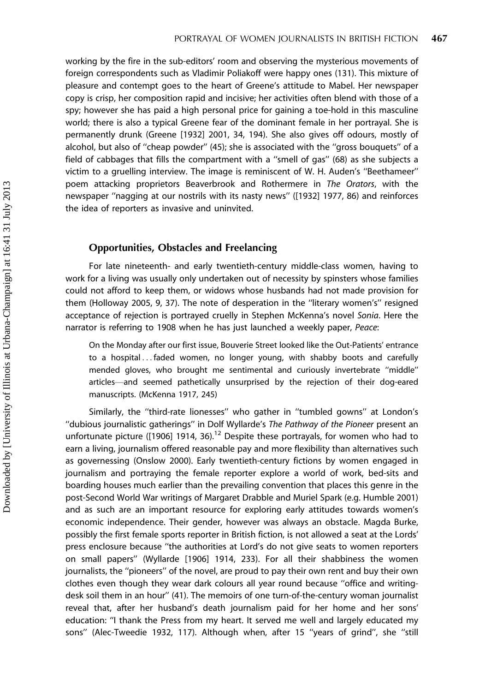working by the fire in the sub-editors' room and observing the mysterious movements of foreign correspondents such as Vladimir Poliakoff were happy ones (131). This mixture of pleasure and contempt goes to the heart of Greene's attitude to Mabel. Her newspaper copy is crisp, her composition rapid and incisive; her activities often blend with those of a spy; however she has paid a high personal price for gaining a toe-hold in this masculine world; there is also a typical Greene fear of the dominant female in her portrayal. She is permanently drunk (Greene [1932] 2001, 34, 194). She also gives off odours, mostly of alcohol, but also of ''cheap powder'' (45); she is associated with the ''gross bouquets'' of a field of cabbages that fills the compartment with a ''smell of gas'' (68) as she subjects a victim to a gruelling interview. The image is reminiscent of W. H. Auden's ''Beethameer'' poem attacking proprietors Beaverbrook and Rothermere in The Orators, with the newspaper ''nagging at our nostrils with its nasty news'' ([1932] 1977, 86) and reinforces the idea of reporters as invasive and uninvited.

#### Opportunities, Obstacles and Freelancing

For late nineteenth- and early twentieth-century middle-class women, having to work for a living was usually only undertaken out of necessity by spinsters whose families could not afford to keep them, or widows whose husbands had not made provision for them (Holloway 2005, 9, 37). The note of desperation in the ''literary women's'' resigned acceptance of rejection is portrayed cruelly in Stephen McKenna's novel Sonia. Here the narrator is referring to 1908 when he has just launched a weekly paper, Peace:

On the Monday after our first issue, Bouverie Street looked like the Out-Patients' entrance to a hospital ... faded women, no longer young, with shabby boots and carefully mended gloves, who brought me sentimental and curiously invertebrate ''middle'' articles—and seemed pathetically unsurprised by the rejection of their dog-eared manuscripts. (McKenna 1917, 245)

Similarly, the ''third-rate lionesses'' who gather in ''tumbled gowns'' at London's ''dubious journalistic gatherings'' in Dolf Wyllarde's The Pathway of the Pioneer present an unfortunate picture ( $[1906]$  1914, 36).<sup>12</sup> Despite these portrayals, for women who had to earn a living, journalism offered reasonable pay and more flexibility than alternatives such as governessing (Onslow 2000). Early twentieth-century fictions by women engaged in journalism and portraying the female reporter explore a world of work, bed-sits and boarding houses much earlier than the prevailing convention that places this genre in the post-Second World War writings of Margaret Drabble and Muriel Spark (e.g. Humble 2001) and as such are an important resource for exploring early attitudes towards women's economic independence. Their gender, however was always an obstacle. Magda Burke, possibly the first female sports reporter in British fiction, is not allowed a seat at the Lords' press enclosure because ''the authorities at Lord's do not give seats to women reporters on small papers'' (Wyllarde [1906] 1914, 233). For all their shabbiness the women journalists, the ''pioneers'' of the novel, are proud to pay their own rent and buy their own clothes even though they wear dark colours all year round because ''office and writingdesk soil them in an hour'' (41). The memoirs of one turn-of-the-century woman journalist reveal that, after her husband's death journalism paid for her home and her sons' education: ''I thank the Press from my heart. It served me well and largely educated my sons'' (Alec-Tweedie 1932, 117). Although when, after 15 ''years of grind'', she ''still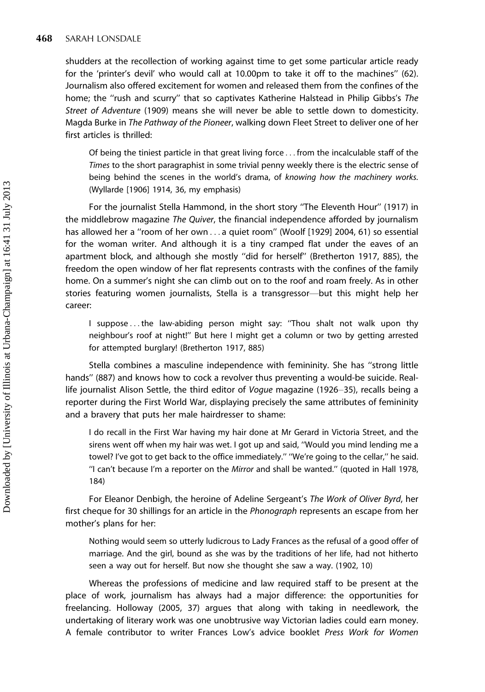shudders at the recollection of working against time to get some particular article ready for the 'printer's devil' who would call at 10.00pm to take it off to the machines'' (62). Journalism also offered excitement for women and released them from the confines of the home; the "rush and scurry" that so captivates Katherine Halstead in Philip Gibbs's The Street of Adventure (1909) means she will never be able to settle down to domesticity. Magda Burke in The Pathway of the Pioneer, walking down Fleet Street to deliver one of her first articles is thrilled:

Of being the tiniest particle in that great living force ... from the incalculable staff of the Times to the short paragraphist in some trivial penny weekly there is the electric sense of being behind the scenes in the world's drama, of knowing how the machinery works. (Wyllarde [1906] 1914, 36, my emphasis)

For the journalist Stella Hammond, in the short story ''The Eleventh Hour'' (1917) in the middlebrow magazine The Quiver, the financial independence afforded by journalism has allowed her a "room of her own . . . a quiet room" (Woolf [1929] 2004, 61) so essential for the woman writer. And although it is a tiny cramped flat under the eaves of an apartment block, and although she mostly ''did for herself'' (Bretherton 1917, 885), the freedom the open window of her flat represents contrasts with the confines of the family home. On a summer's night she can climb out on to the roof and roam freely. As in other stories featuring women journalists, Stella is a transgressor-but this might help her career:

I suppose ...the law-abiding person might say: ''Thou shalt not walk upon thy neighbour's roof at night!'' But here I might get a column or two by getting arrested for attempted burglary! (Bretherton 1917, 885)

Stella combines a masculine independence with femininity. She has ''strong little hands'' (887) and knows how to cock a revolver thus preventing a would-be suicide. Reallife journalist Alison Settle, the third editor of Vogue magazine (1926–35), recalls being a reporter during the First World War, displaying precisely the same attributes of femininity and a bravery that puts her male hairdresser to shame:

I do recall in the First War having my hair done at Mr Gerard in Victoria Street, and the sirens went off when my hair was wet. I got up and said, ''Would you mind lending me a towel? I've got to get back to the office immediately." "We're going to the cellar," he said. "I can't because I'm a reporter on the Mirror and shall be wanted." (quoted in Hall 1978, 184)

For Eleanor Denbigh, the heroine of Adeline Sergeant's The Work of Oliver Byrd, her first cheque for 30 shillings for an article in the *Phonograph* represents an escape from her mother's plans for her:

Nothing would seem so utterly ludicrous to Lady Frances as the refusal of a good offer of marriage. And the girl, bound as she was by the traditions of her life, had not hitherto seen a way out for herself. But now she thought she saw a way. (1902, 10)

Whereas the professions of medicine and law required staff to be present at the place of work, journalism has always had a major difference: the opportunities for freelancing. Holloway (2005, 37) argues that along with taking in needlework, the undertaking of literary work was one unobtrusive way Victorian ladies could earn money. A female contributor to writer Frances Low's advice booklet Press Work for Women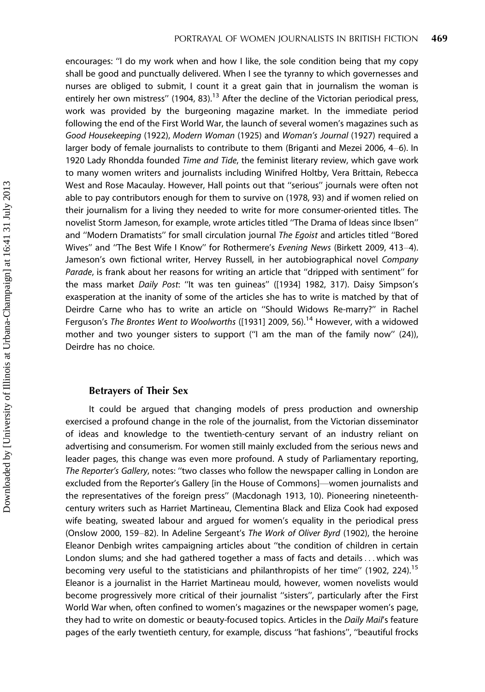encourages: ''I do my work when and how I like, the sole condition being that my copy shall be good and punctually delivered. When I see the tyranny to which governesses and nurses are obliged to submit, I count it a great gain that in journalism the woman is entirely her own mistress" (1904, 83).<sup>13</sup> After the decline of the Victorian periodical press, work was provided by the burgeoning magazine market. In the immediate period following the end of the First World War, the launch of several women's magazines such as Good Housekeeping (1922), Modern Woman (1925) and Woman's Journal (1927) required a larger body of female journalists to contribute to them (Briganti and Mezei 2006, 4-6). In 1920 Lady Rhondda founded Time and Tide, the feminist literary review, which gave work to many women writers and journalists including Winifred Holtby, Vera Brittain, Rebecca West and Rose Macaulay. However, Hall points out that ''serious'' journals were often not able to pay contributors enough for them to survive on (1978, 93) and if women relied on their journalism for a living they needed to write for more consumer-oriented titles. The novelist Storm Jameson, for example, wrote articles titled ''The Drama of Ideas since Ibsen'' and "Modern Dramatists" for small circulation journal The Egoist and articles titled "Bored Wives'' and ''The Best Wife I Know'' for Rothermere's *Evening News* (Birkett 2009, 413–4). Jameson's own fictional writer, Hervey Russell, in her autobiographical novel Company Parade, is frank about her reasons for writing an article that ''dripped with sentiment'' for the mass market Daily Post: ''It was ten guineas'' ([1934] 1982, 317). Daisy Simpson's exasperation at the inanity of some of the articles she has to write is matched by that of Deirdre Carne who has to write an article on ''Should Widows Re-marry?'' in Rachel Ferguson's The Brontes Went to Woolworths ([1931] 2009, 56).<sup>14</sup> However, with a widowed mother and two younger sisters to support ("I am the man of the family now" (24)), Deirdre has no choice.

#### Betrayers of Their Sex

It could be argued that changing models of press production and ownership exercised a profound change in the role of the journalist, from the Victorian disseminator of ideas and knowledge to the twentieth-century servant of an industry reliant on advertising and consumerism. For women still mainly excluded from the serious news and leader pages, this change was even more profound. A study of Parliamentary reporting, The Reporter's Gallery, notes: ''two classes who follow the newspaper calling in London are excluded from the Reporter's Gallery [in the House of Commons]—women journalists and the representatives of the foreign press'' (Macdonagh 1913, 10). Pioneering nineteenthcentury writers such as Harriet Martineau, Clementina Black and Eliza Cook had exposed wife beating, sweated labour and argued for women's equality in the periodical press (Onslow 2000, 159-82). In Adeline Sergeant's The Work of Oliver Byrd (1902), the heroine Eleanor Denbigh writes campaigning articles about ''the condition of children in certain London slums; and she had gathered together a mass of facts and details... which was becoming very useful to the statisticians and philanthropists of her time" (1902, 224).<sup>15</sup> Eleanor is a journalist in the Harriet Martineau mould, however, women novelists would become progressively more critical of their journalist ''sisters'', particularly after the First World War when, often confined to women's magazines or the newspaper women's page, they had to write on domestic or beauty-focused topics. Articles in the Daily Mail's feature pages of the early twentieth century, for example, discuss ''hat fashions'', ''beautiful frocks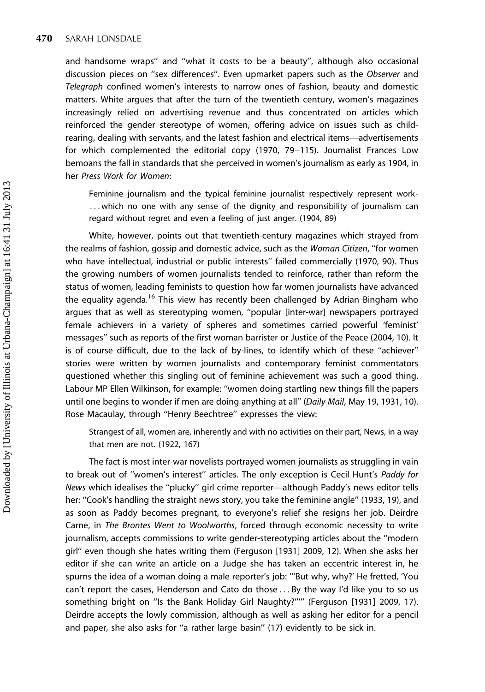and handsome wraps'' and ''what it costs to be a beauty'', although also occasional discussion pieces on ''sex differences''. Even upmarket papers such as the Observer and Telegraph confined women's interests to narrow ones of fashion, beauty and domestic matters. White argues that after the turn of the twentieth century, women's magazines increasingly relied on advertising revenue and thus concentrated on articles which reinforced the gender stereotype of women, offering advice on issues such as childrearing, dealing with servants, and the latest fashion and electrical items—advertisements for which complemented the editorial copy (1970, 79-115). Journalist Frances Low bemoans the fall in standards that she perceived in women's journalism as early as 1904, in her Press Work for Women:

Feminine journalism and the typical feminine journalist respectively represent work- ... which no one with any sense of the dignity and responsibility of journalism can regard without regret and even a feeling of just anger. (1904, 89)

White, however, points out that twentieth-century magazines which strayed from the realms of fashion, gossip and domestic advice, such as the Woman Citizen, ''for women who have intellectual, industrial or public interests'' failed commercially (1970, 90). Thus the growing numbers of women journalists tended to reinforce, rather than reform the status of women, leading feminists to question how far women journalists have advanced the equality agenda.<sup>16</sup> This view has recently been challenged by Adrian Bingham who argues that as well as stereotyping women, ''popular [inter-war] newspapers portrayed female achievers in a variety of spheres and sometimes carried powerful 'feminist' messages'' such as reports of the first woman barrister or Justice of the Peace (2004, 10). It is of course difficult, due to the lack of by-lines, to identify which of these ''achiever'' stories were written by women journalists and contemporary feminist commentators questioned whether this singling out of feminine achievement was such a good thing. Labour MP Ellen Wilkinson, for example: ''women doing startling new things fill the papers until one begins to wonder if men are doing anything at all'' (Daily Mail, May 19, 1931, 10). Rose Macaulay, through ''Henry Beechtree'' expresses the view:

Strangest of all, women are, inherently and with no activities on their part, News, in a way that men are not. (1922, 167)

The fact is most inter-war novelists portrayed women journalists as struggling in vain to break out of ''women's interest'' articles. The only exception is Cecil Hunt's Paddy for News which idealises the "plucky" girl crime reporter—although Paddy's news editor tells her: ''Cook's handling the straight news story, you take the feminine angle'' (1933, 19), and as soon as Paddy becomes pregnant, to everyone's relief she resigns her job. Deirdre Carne, in The Brontes Went to Woolworths, forced through economic necessity to write journalism, accepts commissions to write gender-stereotyping articles about the ''modern girl'' even though she hates writing them (Ferguson [1931] 2009, 12). When she asks her editor if she can write an article on a Judge she has taken an eccentric interest in, he spurns the idea of a woman doing a male reporter's job: '''But why, why?' He fretted, 'You can't report the cases, Henderson and Cato do those ... By the way I'd like you to so us something bright on ''Is the Bank Holiday Girl Naughty?''''' (Ferguson [1931] 2009, 17). Deirdre accepts the lowly commission, although as well as asking her editor for a pencil and paper, she also asks for ''a rather large basin'' (17) evidently to be sick in.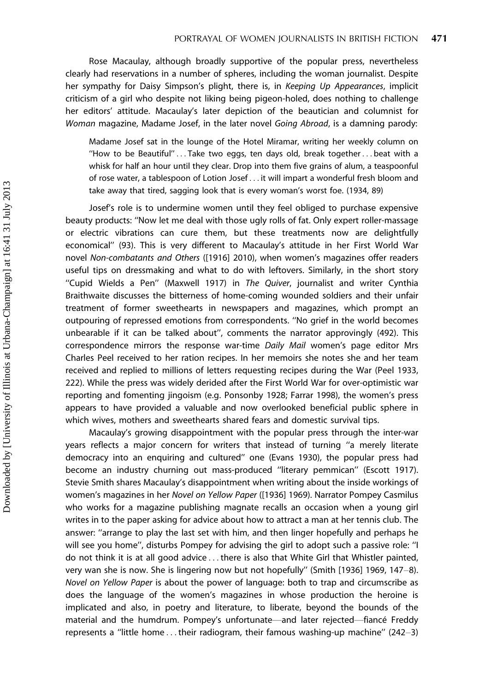Rose Macaulay, although broadly supportive of the popular press, nevertheless clearly had reservations in a number of spheres, including the woman journalist. Despite her sympathy for Daisy Simpson's plight, there is, in Keeping Up Appearances, implicit criticism of a girl who despite not liking being pigeon-holed, does nothing to challenge her editors' attitude. Macaulay's later depiction of the beautician and columnist for Woman magazine, Madame Josef, in the later novel Going Abroad, is a damning parody:

Madame Josef sat in the lounge of the Hotel Miramar, writing her weekly column on ''How to be Beautiful'' ... Take two eggs, ten days old, break together ... beat with a whisk for half an hour until they clear. Drop into them five grains of alum, a teaspoonful of rose water, a tablespoon of Lotion Josef ... it will impart a wonderful fresh bloom and take away that tired, sagging look that is every woman's worst foe. (1934, 89)

Josef's role is to undermine women until they feel obliged to purchase expensive beauty products: ''Now let me deal with those ugly rolls of fat. Only expert roller-massage or electric vibrations can cure them, but these treatments now are delightfully economical'' (93). This is very different to Macaulay's attitude in her First World War novel Non-combatants and Others ([1916] 2010), when women's magazines offer readers useful tips on dressmaking and what to do with leftovers. Similarly, in the short story ''Cupid Wields a Pen'' (Maxwell 1917) in The Quiver, journalist and writer Cynthia Braithwaite discusses the bitterness of home-coming wounded soldiers and their unfair treatment of former sweethearts in newspapers and magazines, which prompt an outpouring of repressed emotions from correspondents. ''No grief in the world becomes unbearable if it can be talked about'', comments the narrator approvingly (492). This correspondence mirrors the response war-time Daily Mail women's page editor Mrs Charles Peel received to her ration recipes. In her memoirs she notes she and her team received and replied to millions of letters requesting recipes during the War (Peel 1933, 222). While the press was widely derided after the First World War for over-optimistic war reporting and fomenting jingoism (e.g. Ponsonby 1928; Farrar 1998), the women's press appears to have provided a valuable and now overlooked beneficial public sphere in which wives, mothers and sweethearts shared fears and domestic survival tips.

Macaulay's growing disappointment with the popular press through the inter-war years reflects a major concern for writers that instead of turning ''a merely literate democracy into an enquiring and cultured'' one (Evans 1930), the popular press had become an industry churning out mass-produced ''literary pemmican'' (Escott 1917). Stevie Smith shares Macaulay's disappointment when writing about the inside workings of women's magazines in her Novel on Yellow Paper ([1936] 1969). Narrator Pompey Casmilus who works for a magazine publishing magnate recalls an occasion when a young girl writes in to the paper asking for advice about how to attract a man at her tennis club. The answer: ''arrange to play the last set with him, and then linger hopefully and perhaps he will see you home'', disturbs Pompey for advising the girl to adopt such a passive role: ''I do not think it is at all good advice ... there is also that White Girl that Whistler painted, very wan she is now. She is lingering now but not hopefully'' (Smith [1936] 1969, 147-8). Novel on Yellow Paper is about the power of language: both to trap and circumscribe as does the language of the women's magazines in whose production the heroine is implicated and also, in poetry and literature, to liberate, beyond the bounds of the material and the humdrum. Pompey's unfortunate—and later rejected—fiancé Freddy represents a ''little home ... their radiogram, their famous washing-up machine'' (242-3)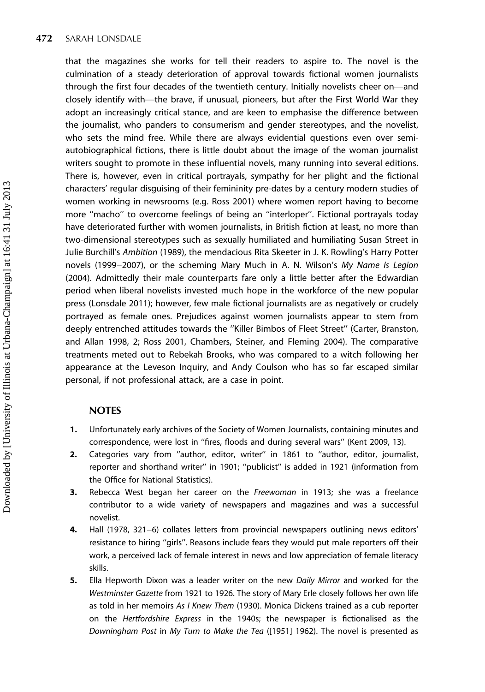that the magazines she works for tell their readers to aspire to. The novel is the culmination of a steady deterioration of approval towards fictional women journalists through the first four decades of the twentieth century. Initially novelists cheer on-and closely identify with—the brave, if unusual, pioneers, but after the First World War they adopt an increasingly critical stance, and are keen to emphasise the difference between the journalist, who panders to consumerism and gender stereotypes, and the novelist, who sets the mind free. While there are always evidential questions even over semiautobiographical fictions, there is little doubt about the image of the woman journalist writers sought to promote in these influential novels, many running into several editions. There is, however, even in critical portrayals, sympathy for her plight and the fictional characters' regular disguising of their femininity pre-dates by a century modern studies of women working in newsrooms (e.g. Ross 2001) where women report having to become more ''macho'' to overcome feelings of being an ''interloper''. Fictional portrayals today have deteriorated further with women journalists, in British fiction at least, no more than two-dimensional stereotypes such as sexually humiliated and humiliating Susan Street in Julie Burchill's Ambition (1989), the mendacious Rita Skeeter in J. K. Rowling's Harry Potter novels (1999-2007), or the scheming Mary Much in A. N. Wilson's My Name Is Legion (2004). Admittedly their male counterparts fare only a little better after the Edwardian period when liberal novelists invested much hope in the workforce of the new popular press (Lonsdale 2011); however, few male fictional journalists are as negatively or crudely portrayed as female ones. Prejudices against women journalists appear to stem from deeply entrenched attitudes towards the ''Killer Bimbos of Fleet Street'' (Carter, Branston, and Allan 1998, 2; Ross 2001, Chambers, Steiner, and Fleming 2004). The comparative treatments meted out to Rebekah Brooks, who was compared to a witch following her appearance at the Leveson Inquiry, and Andy Coulson who has so far escaped similar personal, if not professional attack, are a case in point.

#### **NOTES**

- 1. Unfortunately early archives of the Society of Women Journalists, containing minutes and correspondence, were lost in ''fires, floods and during several wars'' (Kent 2009, 13).
- 2. Categories vary from ''author, editor, writer'' in 1861 to ''author, editor, journalist, reporter and shorthand writer'' in 1901; ''publicist'' is added in 1921 (information from the Office for National Statistics).
- 3. Rebecca West began her career on the Freewoman in 1913; she was a freelance contributor to a wide variety of newspapers and magazines and was a successful novelist.
- 4. Hall (1978, 321-6) collates letters from provincial newspapers outlining news editors' resistance to hiring ''girls''. Reasons include fears they would put male reporters off their work, a perceived lack of female interest in news and low appreciation of female literacy skills.
- 5. Ella Hepworth Dixon was a leader writer on the new Daily Mirror and worked for the Westminster Gazette from 1921 to 1926. The story of Mary Erle closely follows her own life as told in her memoirs As I Knew Them (1930). Monica Dickens trained as a cub reporter on the Hertfordshire Express in the 1940s; the newspaper is fictionalised as the Downingham Post in My Turn to Make the Tea ([1951] 1962). The novel is presented as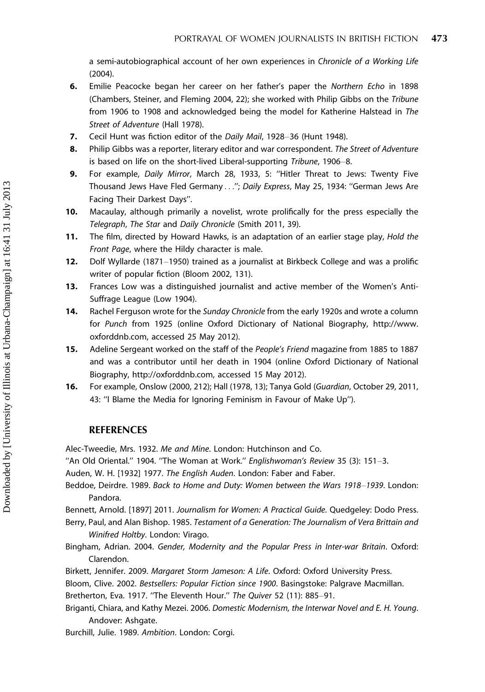a semi-autobiographical account of her own experiences in Chronicle of a Working Life (2004).

- 6. Emilie Peacocke began her career on her father's paper the Northern Echo in 1898 (Chambers, Steiner, and Fleming 2004, 22); she worked with Philip Gibbs on the Tribune from 1906 to 1908 and acknowledged being the model for Katherine Halstead in The Street of Adventure (Hall 1978).
- 7. Cecil Hunt was fiction editor of the Daily Mail, 1928–36 (Hunt 1948).
- 8. Philip Gibbs was a reporter, literary editor and war correspondent. The Street of Adventure is based on life on the short-lived Liberal-supporting Tribune, 1906–8.
- 9. For example, Daily Mirror, March 28, 1933, 5: "Hitler Threat to Jews: Twenty Five Thousand Jews Have Fled Germany ...''; Daily Express, May 25, 1934: ''German Jews Are Facing Their Darkest Days''.
- 10. Macaulay, although primarily a novelist, wrote prolifically for the press especially the Telegraph, The Star and Daily Chronicle (Smith 2011, 39).
- 11. The film, directed by Howard Hawks, is an adaptation of an earlier stage play, Hold the Front Page, where the Hildy character is male.
- 12. Dolf Wyllarde (1871-1950) trained as a journalist at Birkbeck College and was a prolific writer of popular fiction (Bloom 2002, 131).
- 13. Frances Low was a distinguished journalist and active member of the Women's Anti-Suffrage League (Low 1904).
- 14. Rachel Ferguson wrote for the Sunday Chronicle from the early 1920s and wrote a column for Punch from 1925 (online Oxford Dictionary of National Biography, [http://www.](http://www.oxforddnb.com) [oxforddnb.com](http://www.oxforddnb.com), accessed 25 May 2012).
- 15. Adeline Sergeant worked on the staff of the People's Friend magazine from 1885 to 1887 and was a contributor until her death in 1904 (online Oxford Dictionary of National Biography, [http://oxforddnb.com,](http://oxforddnb.com) accessed 15 May 2012).
- 16. For example, Onslow (2000, 212); Hall (1978, 13); Tanya Gold (Guardian, October 29, 2011, 43: ''I Blame the Media for Ignoring Feminism in Favour of Make Up'').

#### **REFERENCES**

Alec-Tweedie, Mrs. 1932. Me and Mine. London: Hutchinson and Co.

"An Old Oriental." 1904. "The Woman at Work." Englishwoman's Review 35 (3): 151–3.

Auden, W. H. [1932] 1977. The English Auden. London: Faber and Faber.

Beddoe, Deirdre. 1989. Back to Home and Duty: Women between the Wars 1918-1939. London: Pandora.

Bennett, Arnold. [1897] 2011. Journalism for Women: A Practical Guide. Quedgeley: Dodo Press.

Berry, Paul, and Alan Bishop. 1985. Testament of a Generation: The Journalism of Vera Brittain and Winifred Holtby. London: Virago.

- Bingham, Adrian. 2004. Gender, Modernity and the Popular Press in Inter-war Britain. Oxford: Clarendon.
- Birkett, Jennifer. 2009. Margaret Storm Jameson: A Life. Oxford: Oxford University Press.
- Bloom, Clive. 2002. Bestsellers: Popular Fiction since 1900. Basingstoke: Palgrave Macmillan.

Bretherton, Eva. 1917. "The Eleventh Hour." The Quiver 52 (11): 885–91.

Briganti, Chiara, and Kathy Mezei. 2006. Domestic Modernism, the Interwar Novel and E. H. Young. Andover: Ashgate.

Burchill, Julie. 1989. Ambition. London: Corgi.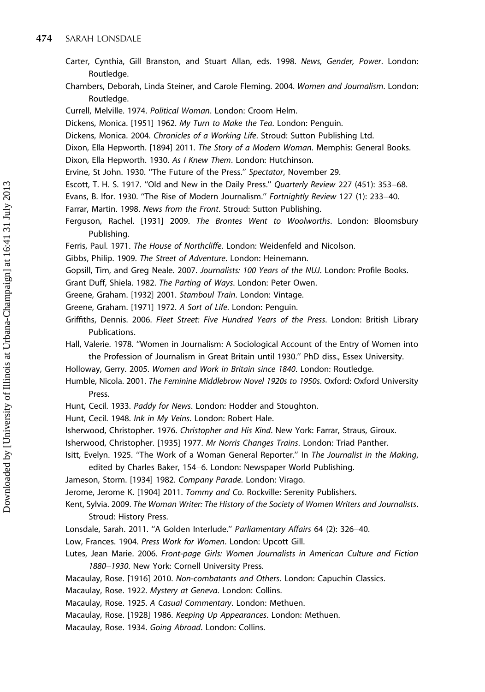- Carter, Cynthia, Gill Branston, and Stuart Allan, eds. 1998. News, Gender, Power. London: Routledge.
- Chambers, Deborah, Linda Steiner, and Carole Fleming. 2004. Women and Journalism. London: Routledge.
- Currell, Melville. 1974. Political Woman. London: Croom Helm.
- Dickens, Monica. [1951] 1962. My Turn to Make the Tea. London: Penguin.
- Dickens, Monica. 2004. Chronicles of a Working Life. Stroud: Sutton Publishing Ltd.
- Dixon, Ella Hepworth. [1894] 2011. The Story of a Modern Woman. Memphis: General Books.
- Dixon, Ella Hepworth. 1930. As I Knew Them. London: Hutchinson.
- Ervine, St John. 1930. ''The Future of the Press.'' Spectator, November 29.
- Escott, T. H. S. 1917. "Old and New in the Daily Press." Quarterly Review 227 (451): 353-68.
- Evans, B. Ifor. 1930. "The Rise of Modern Journalism." Fortnightly Review 127 (1): 233-40.
- Farrar, Martin. 1998. News from the Front. Stroud: Sutton Publishing.
- Ferguson, Rachel. [1931] 2009. The Brontes Went to Woolworths. London: Bloomsbury Publishing.
- Ferris, Paul. 1971. The House of Northcliffe. London: Weidenfeld and Nicolson.
- Gibbs, Philip. 1909. The Street of Adventure. London: Heinemann.
- Gopsill, Tim, and Greg Neale. 2007. Journalists: 100 Years of the NUJ. London: Profile Books.
- Grant Duff, Shiela. 1982. The Parting of Ways. London: Peter Owen.
- Greene, Graham. [1932] 2001. Stamboul Train. London: Vintage.
- Greene, Graham. [1971] 1972. A Sort of Life. London: Penguin.
- Griffiths, Dennis. 2006. Fleet Street: Five Hundred Years of the Press. London: British Library Publications.
- Hall, Valerie. 1978. ''Women in Journalism: A Sociological Account of the Entry of Women into the Profession of Journalism in Great Britain until 1930.'' PhD diss., Essex University.
- Holloway, Gerry. 2005. Women and Work in Britain since 1840. London: Routledge.
- Humble, Nicola. 2001. The Feminine Middlebrow Novel 1920s to 1950s. Oxford: Oxford University Press.
- Hunt, Cecil. 1933. Paddy for News. London: Hodder and Stoughton.
- Hunt, Cecil. 1948. Ink in My Veins. London: Robert Hale.
- Isherwood, Christopher. 1976. Christopher and His Kind. New York: Farrar, Straus, Giroux.
- Isherwood, Christopher. [1935] 1977. Mr Norris Changes Trains. London: Triad Panther.
- Isitt, Evelyn. 1925. ''The Work of a Woman General Reporter.'' In The Journalist in the Making,
	- edited by Charles Baker, 154-6. London: Newspaper World Publishing.
- Jameson, Storm. [1934] 1982. Company Parade. London: Virago.
- Jerome, Jerome K. [1904] 2011. Tommy and Co. Rockville: Serenity Publishers.
- Kent, Sylvia. 2009. The Woman Writer: The History of the Society of Women Writers and Journalists. Stroud: History Press.
- Lonsdale, Sarah. 2011. "A Golden Interlude." Parliamentary Affairs 64 (2): 326-40.
- Low, Frances. 1904. Press Work for Women. London: Upcott Gill.
- Lutes, Jean Marie. 2006. Front-page Girls: Women Journalists in American Culture and Fiction 1880-1930. New York: Cornell University Press.
- Macaulay, Rose. [1916] 2010. Non-combatants and Others. London: Capuchin Classics.
- Macaulay, Rose. 1922. Mystery at Geneva. London: Collins.
- Macaulay, Rose. 1925. A Casual Commentary. London: Methuen.
- Macaulay, Rose. [1928] 1986. Keeping Up Appearances. London: Methuen.
- Macaulay, Rose. 1934. Going Abroad. London: Collins.